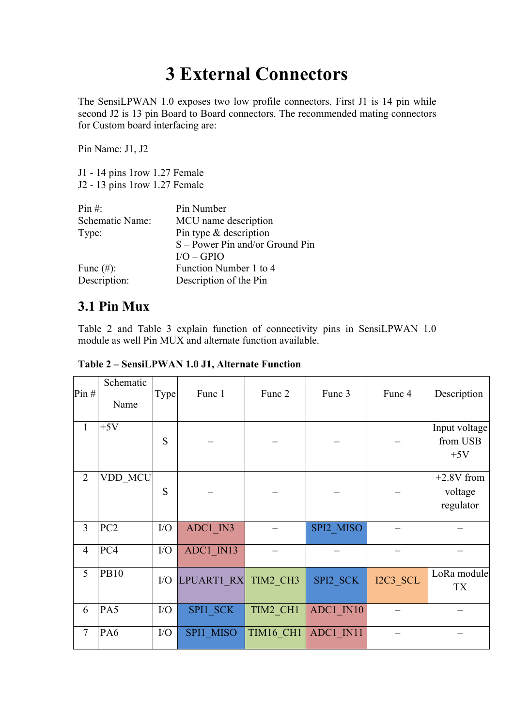## **3 External Connectors**

The SensiLPWAN 1.0 exposes two low profile connectors. First J1 is 14 pin while second J2 is 13 pin Board to Board connectors. The recommended mating connectors for Custom board interfacing are:

Pin Name: J1, J2

J1 - 14 pins 1row 1.27 Female J2 - 13 pins 1row 1.27 Female

| Pin #:          | Pin Number                        |
|-----------------|-----------------------------------|
| Schematic Name: | MCU name description              |
| Type:           | Pin type $&$ description          |
|                 | $S$ – Power Pin and/or Ground Pin |
|                 | $I/O - GPIO$                      |
| Func $(\#)$ :   | Function Number 1 to 4            |
| Description:    | Description of the Pin            |

## **3.1 Pin Mux**

Table 2 and Table 3 explain function of connectivity pins in SensiLPWAN 1.0 module as well Pin MUX and alternate function available.

| Pin#           | Schematic<br>Name | Type | Func 1     | Func 2    | Func 3    | Func 4   | Description                          |
|----------------|-------------------|------|------------|-----------|-----------|----------|--------------------------------------|
| $\mathbf{1}$   | $+5V$             | S    |            |           |           |          | Input voltage<br>from USB<br>$+5V$   |
| $\overline{2}$ | VDD MCU           | S    |            |           |           |          | $+2.8V$ from<br>voltage<br>regulator |
| 3              | PC <sub>2</sub>   | I/O  | ADC1 IN3   |           | SPI2 MISO |          |                                      |
| $\overline{4}$ | PC4               | I/O  | ADC1 IN13  |           |           |          |                                      |
| 5              | <b>PB10</b>       | I/O  | LPUART1 RX | TIM2 CH3  | SPI2 SCK  | I2C3 SCL | LoRa module<br><b>TX</b>             |
| 6              | PA5               | I/O  | SPI1 SCK   | TIM2 CH1  | ADC1 IN10 |          |                                      |
| $\overline{7}$ | PA6               | I/O  | SPI1 MISO  | TIM16 CH1 | ADC1 IN11 |          |                                      |

**Table 2 – SensiLPWAN 1.0 J1, Alternate Function**